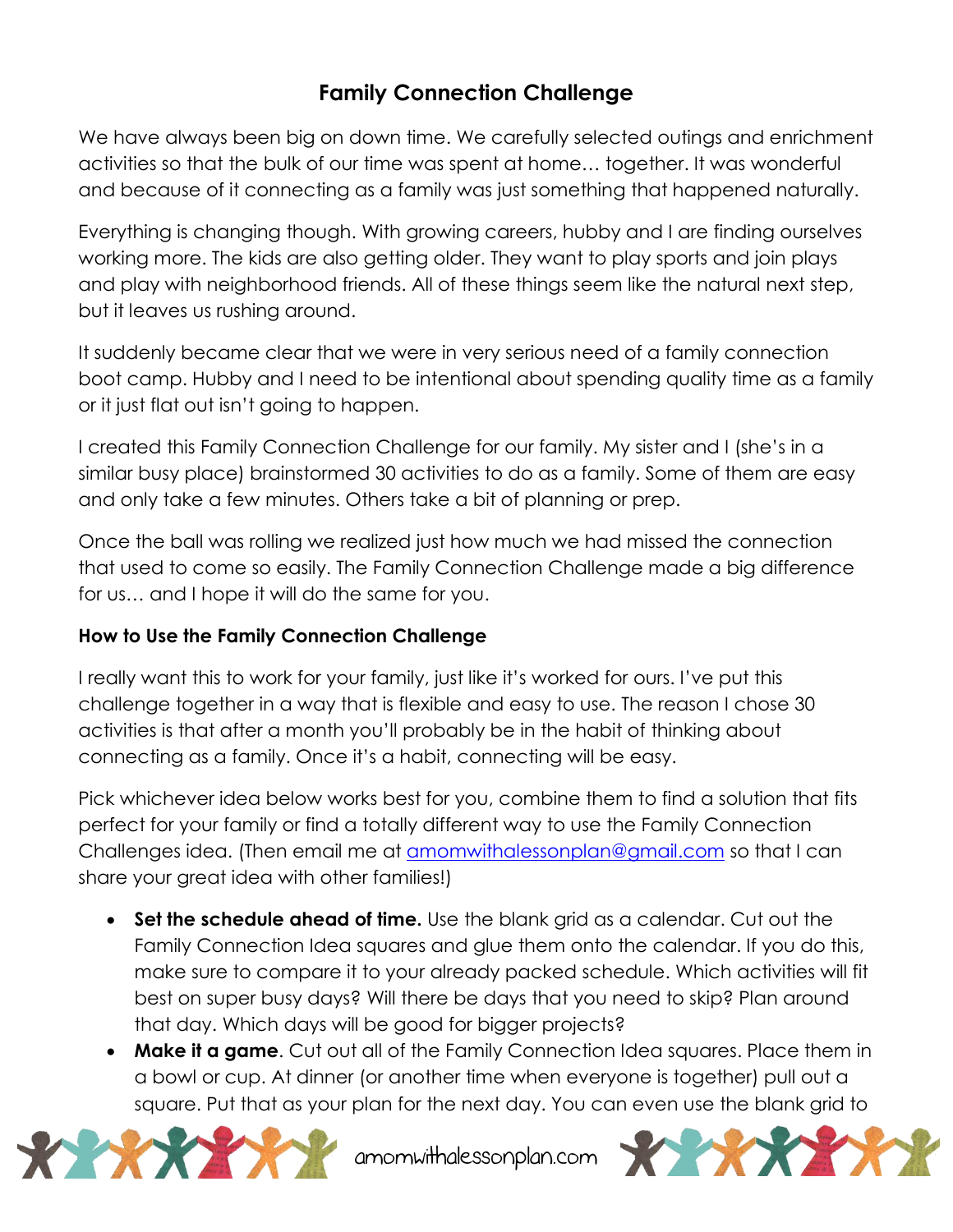## **Family Connection Challenge**

We have always been big on down time. We carefully selected outings and enrichment activities so that the bulk of our time was spent at home… together. It was wonderful and because of it connecting as a family was just something that happened naturally.

Everything is changing though. With growing careers, hubby and I are finding ourselves working more. The kids are also getting older. They want to play sports and join plays and play with neighborhood friends. All of these things seem like the natural next step, but it leaves us rushing around.

It suddenly became clear that we were in very serious need of a family connection boot camp. Hubby and I need to be intentional about spending quality time as a family or it just flat out isn't going to happen.

I created this Family Connection Challenge for our family. My sister and I (she's in a similar busy place) brainstormed 30 activities to do as a family. Some of them are easy and only take a few minutes. Others take a bit of planning or prep.

Once the ball was rolling we realized just how much we had missed the connection that used to come so easily. The Family Connection Challenge made a big difference for us… and I hope it will do the same for you.

## **How to Use the Family Connection Challenge**

I really want this to work for your family, just like it's worked for ours. I've put this challenge together in a way that is flexible and easy to use. The reason I chose 30 activities is that after a month you'll probably be in the habit of thinking about connecting as a family. Once it's a habit, connecting will be easy.

Pick whichever idea below works best for you, combine them to find a solution that fits perfect for your family or find a totally different way to use the Family Connection Challenges idea. (Then email me at [amomwithalessonplan@gmail.com](mailto:amomwithalessonplan@gmail.com) so that I can share your great idea with other families!)

- **Set the schedule ahead of time.** Use the blank grid as a calendar. Cut out the Family Connection Idea squares and glue them onto the calendar. If you do this, make sure to compare it to your already packed schedule. Which activities will fit best on super busy days? Will there be days that you need to skip? Plan around that day. Which days will be good for bigger projects?
- **Make it a game**. Cut out all of the Family Connection Idea squares. Place them in a bowl or cup. At dinner (or another time when everyone is together) pull out a square. Put that as your plan for the next day. You can even use the blank grid to



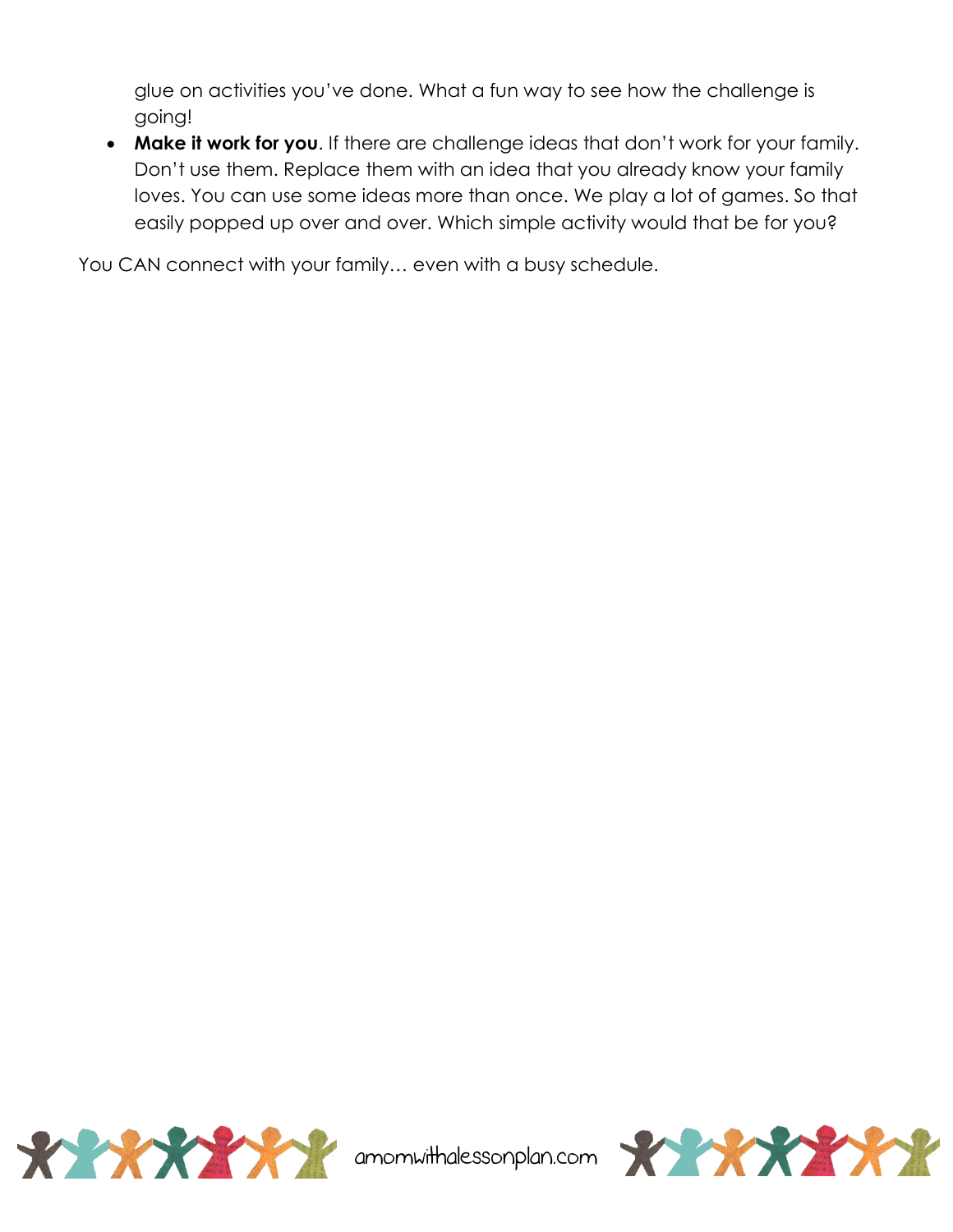glue on activities you've done. What a fun way to see how the challenge is going!

 **Make it work for you**. If there are challenge ideas that don't work for your family. Don't use them. Replace them with an idea that you already know your family loves. You can use some ideas more than once. We play a lot of games. So that easily popped up over and over. Which simple activity would that be for you?

You CAN connect with your family... even with a busy schedule.



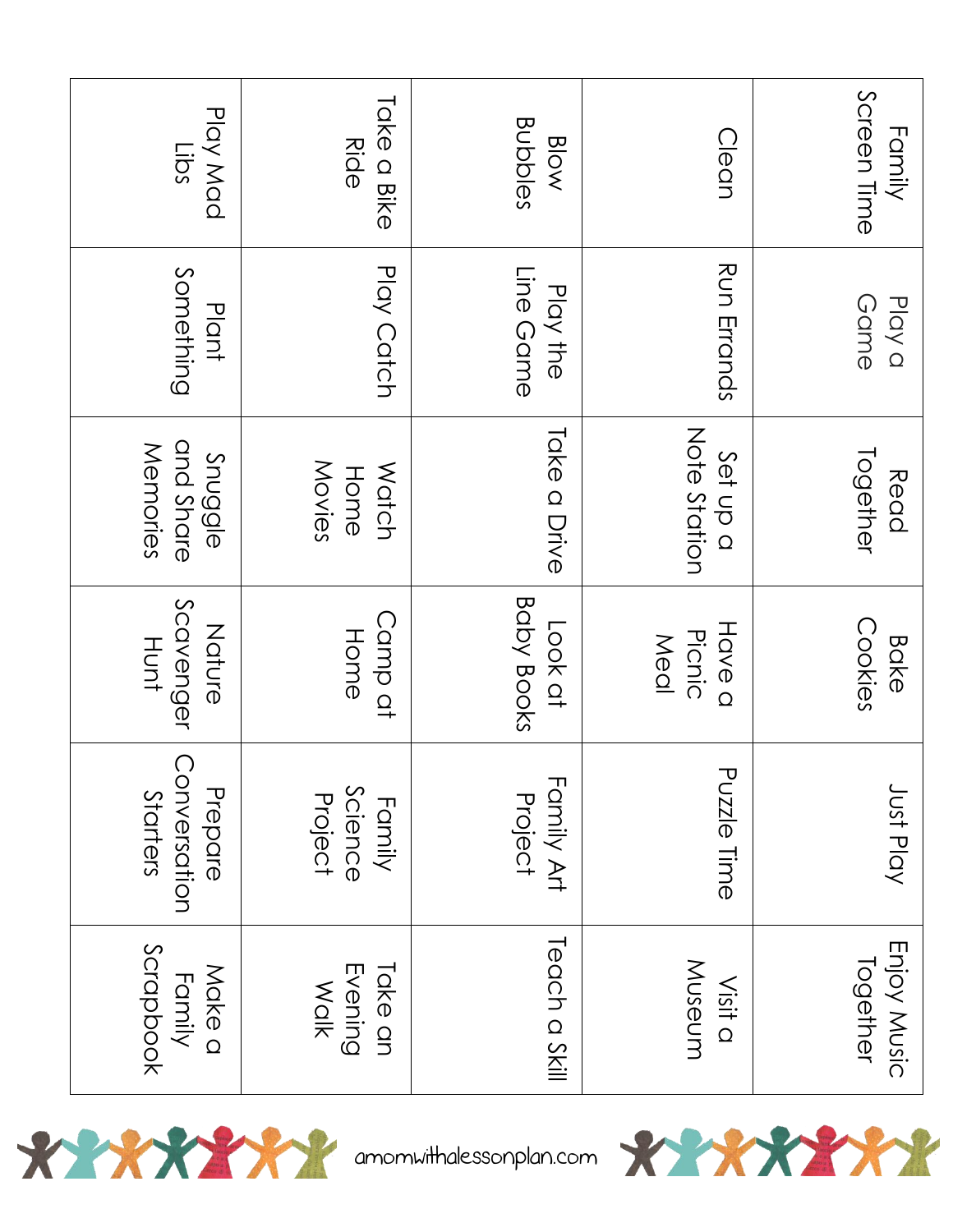| Scrapbook<br>Make a<br>Family | onversation<br>Prepare<br>Starters | Scavenger<br>Nature<br>HUN1  | and Share<br>Memories<br>Snuggle | Something<br>Plant           | Play Mad<br>Libs              |
|-------------------------------|------------------------------------|------------------------------|----------------------------------|------------------------------|-------------------------------|
| Take an<br>Evening<br>Walk    | Science<br>Project<br>Family       | Camp at<br>Home              | Movies<br><b>Watch</b><br>Home   | <b>Play Catch</b>            | Take a Bike<br>Ride           |
| Teach a Skill                 | Family Art<br>Project              | <b>Baby Books</b><br>Look at | Take a Drive                     | Line Game<br><b>Play the</b> | <b>Bubbles</b><br><b>Blow</b> |
| Museum<br>Visit a             | Puzzle Time                        | Have a<br>Picnic<br>Meal     | Note Station<br>Set up a         | Run Errands                  | Clean                         |
| Enjoy Music<br>Together       | Just Play                          | Cookies<br>Bake              | Together<br>Read                 | Game<br>Play a               | Screen Time<br>Family         |



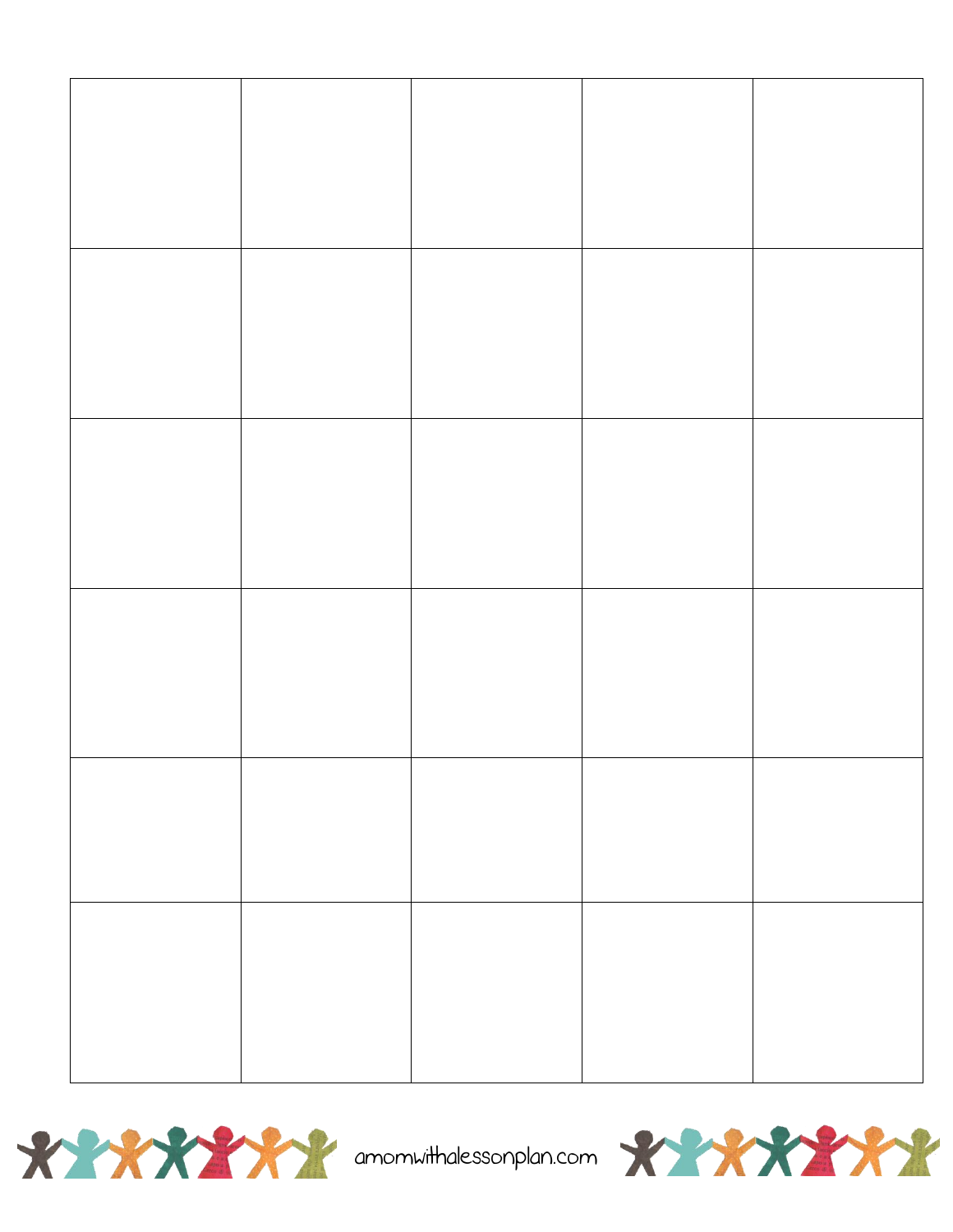

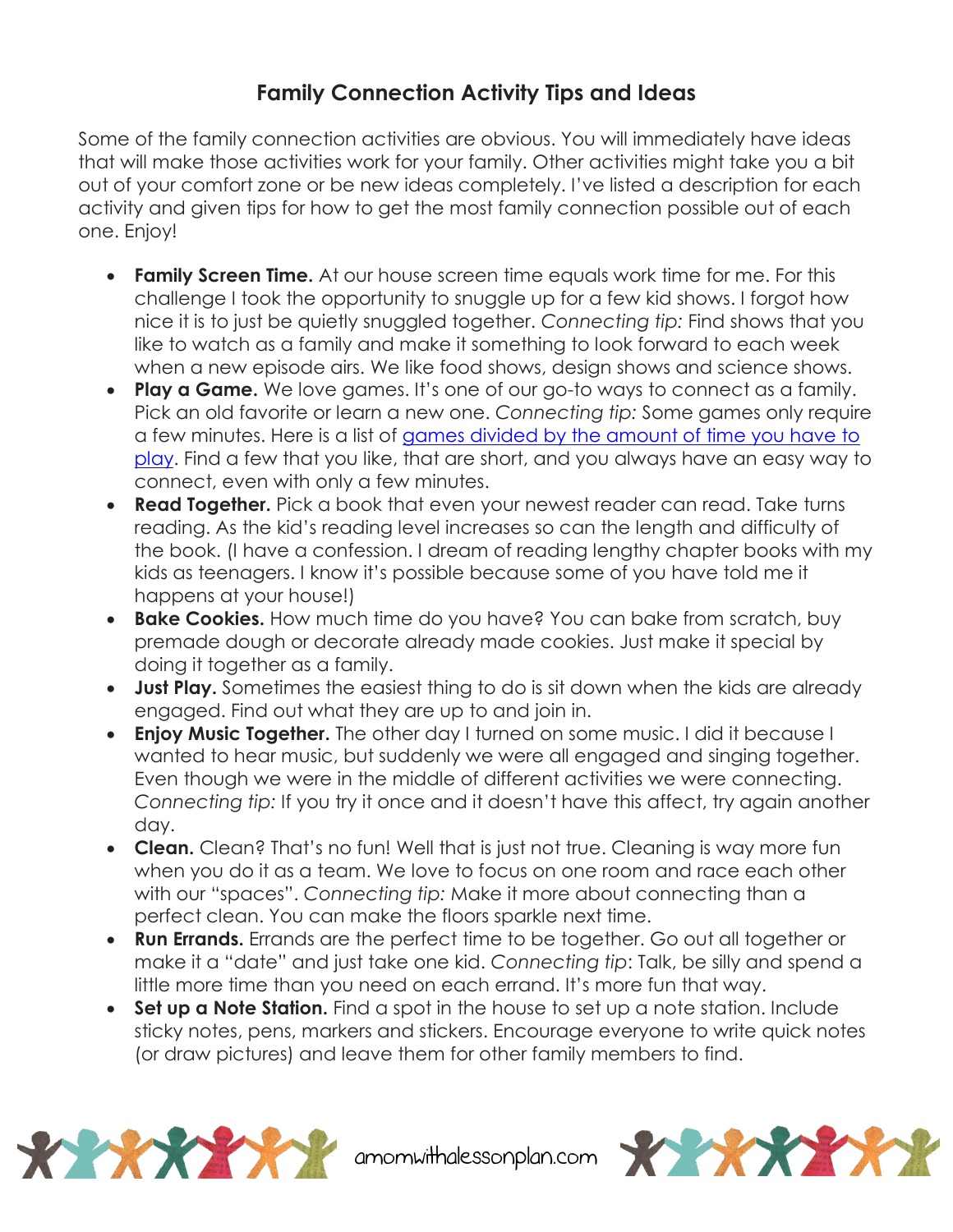## **Family Connection Activity Tips and Ideas**

Some of the family connection activities are obvious. You will immediately have ideas that will make those activities work for your family. Other activities might take you a bit out of your comfort zone or be new ideas completely. I've listed a description for each activity and given tips for how to get the most family connection possible out of each one. Enjoy!

- **Family Screen Time.** At our house screen time equals work time for me. For this challenge I took the opportunity to snuggle up for a few kid shows. I forgot how nice it is to just be quietly snuggled together. *Connecting tip:* Find shows that you like to watch as a family and make it something to look forward to each week when a new episode airs. We like food shows, design shows and science shows.
- Play a Game. We love games. It's one of our go-to ways to connect as a family. Pick an old favorite or learn a new one. *Connecting tip:* Some games only require a few minutes. Here is a list of [games divided by the amount of time you have to](http://amomwithalessonplan.com/family-games/)  [play.](http://amomwithalessonplan.com/family-games/) Find a few that you like, that are short, and you always have an easy way to connect, even with only a few minutes.
- **Read Together.** Pick a book that even your newest reader can read. Take turns reading. As the kid's reading level increases so can the length and difficulty of the book. (I have a confession. I dream of reading lengthy chapter books with my kids as teenagers. I know it's possible because some of you have told me it happens at your house!)
- **Bake Cookies.** How much time do you have? You can bake from scratch, buy premade dough or decorate already made cookies. Just make it special by doing it together as a family.
- **Just Play.** Sometimes the easiest thing to do is sit down when the kids are already engaged. Find out what they are up to and join in.
- **Enjoy Music Together.** The other day I turned on some music. I did it because I wanted to hear music, but suddenly we were all engaged and singing together. Even though we were in the middle of different activities we were connecting. *Connecting tip:* If you try it once and it doesn't have this affect, try again another day.
- **Clean.** Clean? That's no fun! Well that is just not true. Cleaning is way more fun when you do it as a team. We love to focus on one room and race each other with our "spaces". *Connecting tip:* Make it more about connecting than a perfect clean. You can make the floors sparkle next time.
- **Run Errands.** Errands are the perfect time to be together. Go out all together or make it a "date" and just take one kid. *Connecting tip*: Talk, be silly and spend a little more time than you need on each errand. It's more fun that way.
- **Set up a Note Station.** Find a spot in the house to set up a note station. Include sticky notes, pens, markers and stickers. Encourage everyone to write quick notes (or draw pictures) and leave them for other family members to find.



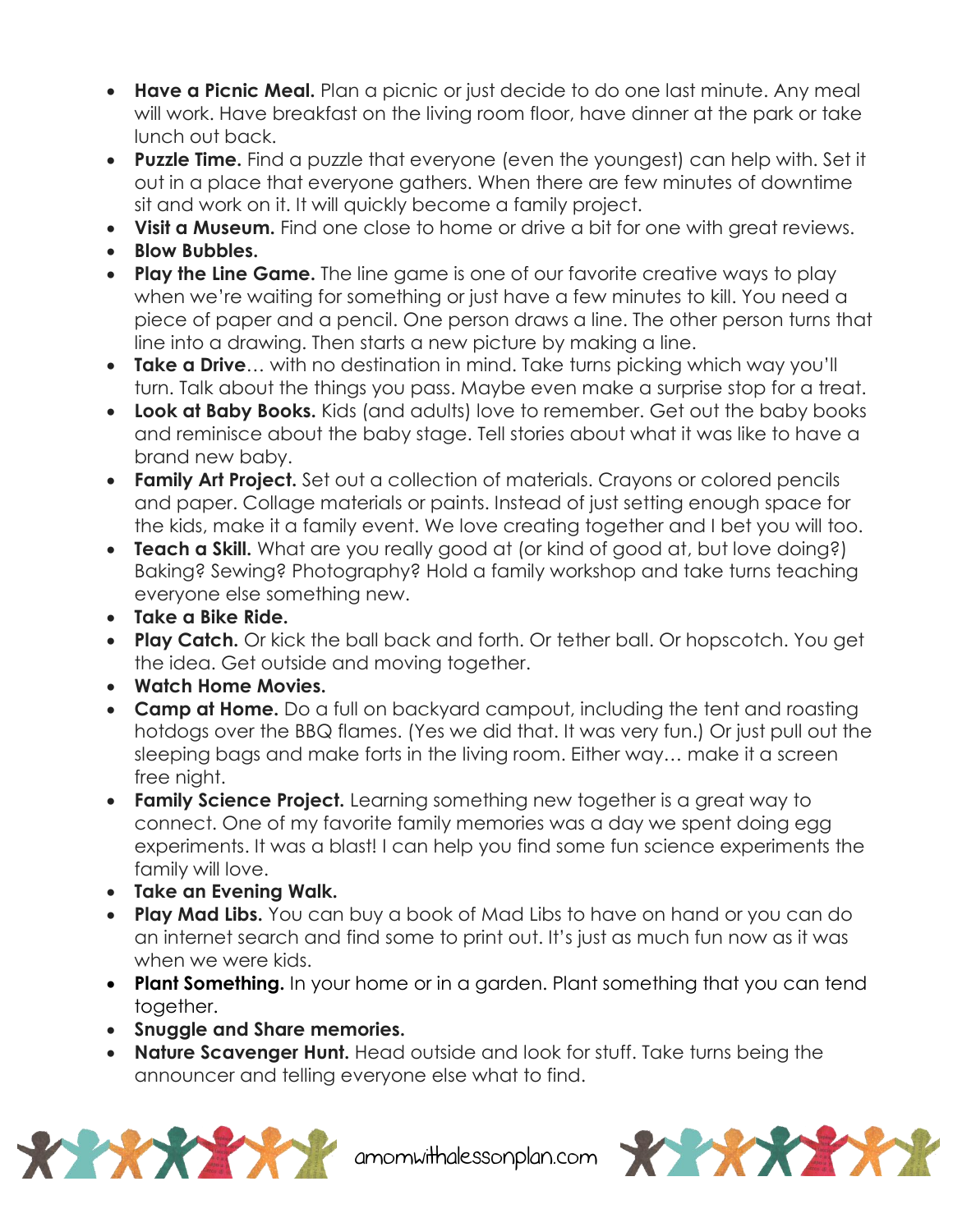- **Have a Picnic Meal.** Plan a picnic or just decide to do one last minute. Any meal will work. Have breakfast on the living room floor, have dinner at the park or take lunch out back.
- **Puzzle Time.** Find a puzzle that everyone (even the youngest) can help with. Set it out in a place that everyone gathers. When there are few minutes of downtime sit and work on it. It will quickly become a family project.
- **Visit a Museum.** Find one close to home or drive a bit for one with great reviews.
- **Blow Bubbles.**
- **Play the Line Game.** The line game is one of our favorite creative ways to play when we're waiting for something or just have a few minutes to kill. You need a piece of paper and a pencil. One person draws a line. The other person turns that line into a drawing. Then starts a new picture by making a line.
- **Take a Drive**… with no destination in mind. Take turns picking which way you'll turn. Talk about the things you pass. Maybe even make a surprise stop for a treat.
- **Look at Baby Books.** Kids (and adults) love to remember. Get out the baby books and reminisce about the baby stage. Tell stories about what it was like to have a brand new baby.
- **Family Art Project.** Set out a collection of materials. Crayons or colored pencils and paper. Collage materials or paints. Instead of just setting enough space for the kids, make it a family event. We love creating together and I bet you will too.
- **Teach a Skill.** What are you really good at (or kind of good at, but love doing?) Baking? Sewing? Photography? Hold a family workshop and take turns teaching everyone else something new.
- **Take a Bike Ride.**
- **Play Catch.** Or kick the ball back and forth. Or tether ball. Or hopscotch. You get the idea. Get outside and moving together.
- **Watch Home Movies.**
- **Camp at Home.** Do a full on backyard campout, including the tent and roasting hotdogs over the BBQ flames. (Yes we did that. It was very fun.) Or just pull out the sleeping bags and make forts in the living room. Either way… make it a screen free night.
- **Family Science Project.** Learning something new together is a great way to connect. One of my favorite family memories was a day we spent doing egg experiments. It was a blast! I can help you find some fun science experiments the family will love.
- **Take an Evening Walk.**
- **Play Mad Libs.** You can buy a book of Mad Libs to have on hand or you can do an internet search and find some to print out. It's just as much fun now as it was when we were kids.
- **Plant Something.** In your home or in a garden. Plant something that you can tend together.
- **Snuggle and Share memories.**
- **Nature Scavenger Hunt.** Head outside and look for stuff. Take turns being the announcer and telling everyone else what to find.